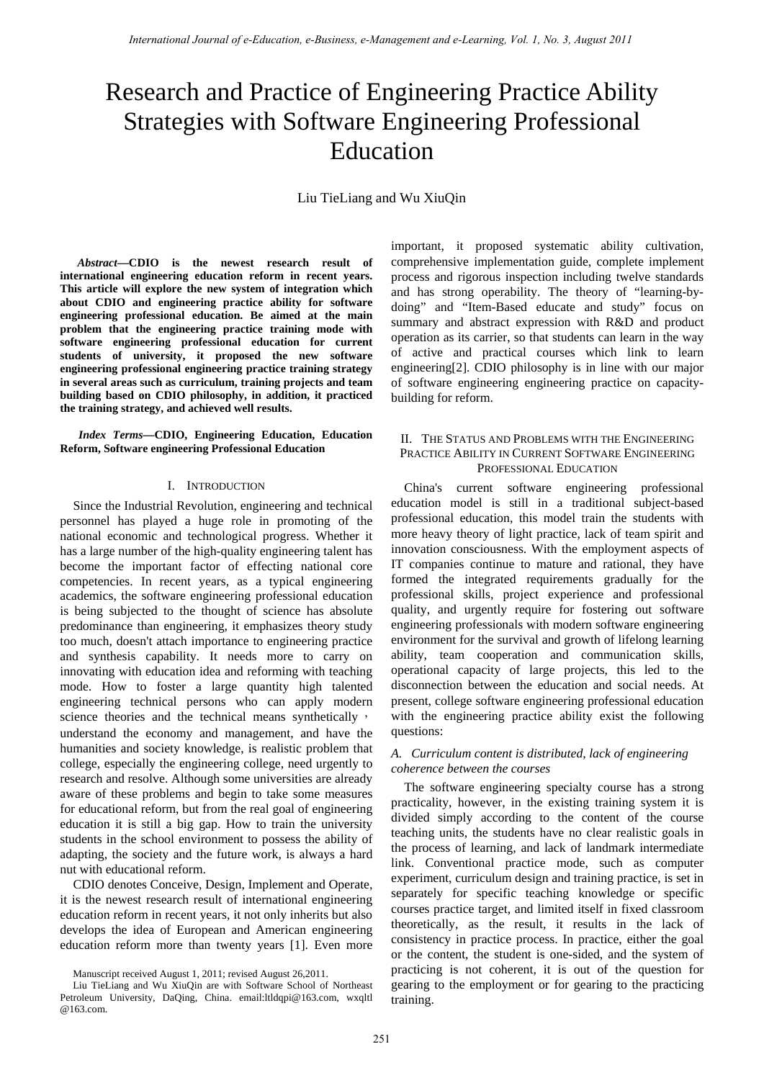# Research and Practice of Engineering Practice Ability Strategies with Software Engineering Professional Education

Liu TieLiang and Wu XiuQin

*Abstract***—CDIO is the newest research result of international engineering education reform in recent years. This article will explore the new system of integration which about CDIO and engineering practice ability for software engineering professional education. Be aimed at the main problem that the engineering practice training mode with software engineering professional education for current students of university, it proposed the new software engineering professional engineering practice training strategy in several areas such as curriculum, training projects and team building based on CDIO philosophy, in addition, it practiced the training strategy, and achieved well results.** 

*Index Terms—***CDIO, Engineering Education, Education Reform, Software engineering Professional Education** 

#### I. INTRODUCTION

Since the Industrial Revolution, engineering and technical personnel has played a huge role in promoting of the national economic and technological progress. Whether it has a large number of the high-quality engineering talent has become the important factor of effecting national core competencies. In recent years, as a typical engineering academics, the software engineering professional education is being subjected to the thought of science has absolute predominance than engineering, it emphasizes theory study too much, doesn't attach importance to engineering practice and synthesis capability. It needs more to carry on innovating with education idea and reforming with teaching mode. How to foster a large quantity high talented engineering technical persons who can apply modern science theories and the technical means synthetically, understand the economy and management, and have the humanities and society knowledge, is realistic problem that college, especially the engineering college, need urgently to research and resolve. Although some universities are already aware of these problems and begin to take some measures for educational reform, but from the real goal of engineering education it is still a big gap. How to train the university students in the school environment to possess the ability of adapting, the society and the future work, is always a hard nut with educational reform.

CDIO denotes Conceive, Design, Implement and Operate, it is the newest research result of international engineering education reform in recent years, it not only inherits but also develops the idea of European and American engineering education reform more than twenty years [1]. Even more

Manuscript received August 1, 2011; revised August 26,2011.

important, it proposed systematic ability cultivation, comprehensive implementation guide, complete implement process and rigorous inspection including twelve standards and has strong operability. The theory of "learning-bydoing" and "Item-Based educate and study" focus on summary and abstract expression with R&D and product operation as its carrier, so that students can learn in the way of active and practical courses which link to learn engineering[2]. CDIO philosophy is in line with our major of software engineering engineering practice on capacitybuilding for reform.

#### II. THE STATUS AND PROBLEMS WITH THE ENGINEERING PRACTICE ABILITY IN CURRENT SOFTWARE ENGINEERING PROFESSIONAL EDUCATION

China's current software engineering professional education model is still in a traditional subject-based professional education, this model train the students with more heavy theory of light practice, lack of team spirit and innovation consciousness. With the employment aspects of IT companies continue to mature and rational, they have formed the integrated requirements gradually for the professional skills, project experience and professional quality, and urgently require for fostering out software engineering professionals with modern software engineering environment for the survival and growth of lifelong learning ability, team cooperation and communication skills, operational capacity of large projects, this led to the disconnection between the education and social needs. At present, college software engineering professional education with the engineering practice ability exist the following questions:

## *A. Curriculum content is distributed, lack of engineering coherence between the courses*

The software engineering specialty course has a strong practicality, however, in the existing training system it is divided simply according to the content of the course teaching units, the students have no clear realistic goals in the process of learning, and lack of landmark intermediate link. Conventional practice mode, such as computer experiment, curriculum design and training practice, is set in separately for specific teaching knowledge or specific courses practice target, and limited itself in fixed classroom theoretically, as the result, it results in the lack of consistency in practice process. In practice, either the goal or the content, the student is one-sided, and the system of practicing is not coherent, it is out of the question for gearing to the employment or for gearing to the practicing training.

Liu TieLiang and Wu XiuQin are with Software School of Northeast Petroleum University, DaQing, China. email:ltldqpi@163.com, wxqltl @163.com.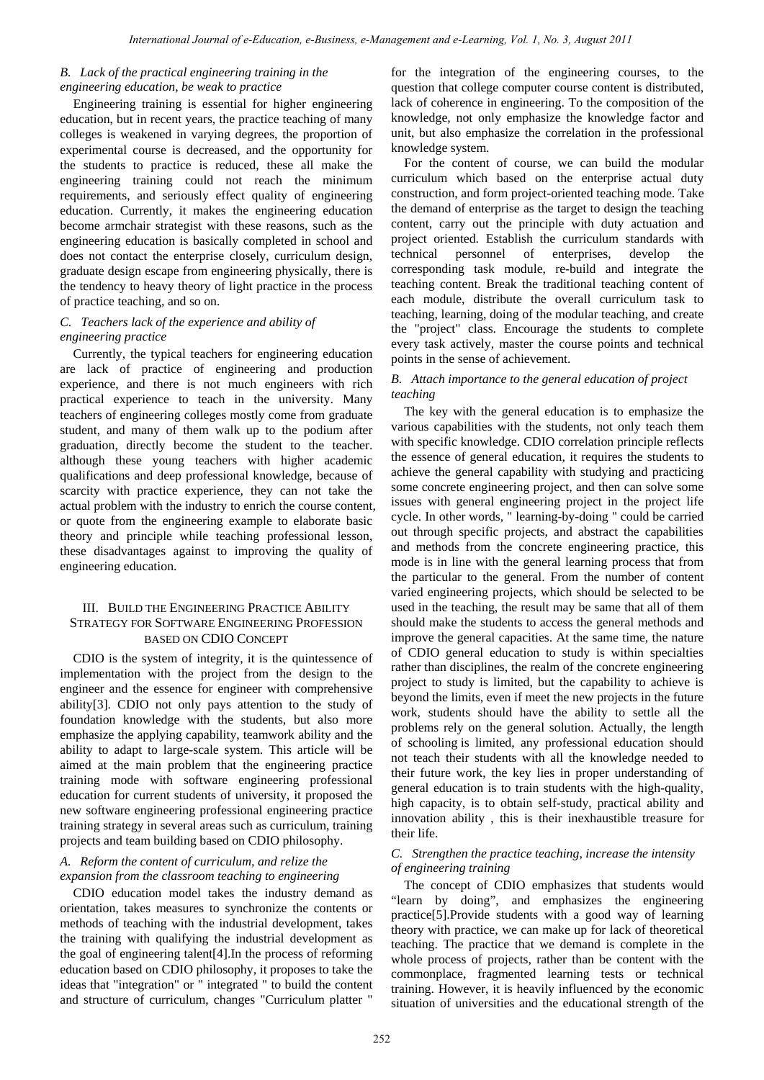#### *B. Lack of the practical engineering training in the engineering education, be weak to practice*

Engineering training is essential for higher engineering education, but in recent years, the practice teaching of many colleges is weakened in varying degrees, the proportion of experimental course is decreased, and the opportunity for the students to practice is reduced, these all make the engineering training could not reach the minimum requirements, and seriously effect quality of engineering education. Currently, it makes the engineering education become armchair strategist with these reasons, such as the engineering education is basically completed in school and does not contact the enterprise closely, curriculum design, graduate design escape from engineering physically, there is the tendency to heavy theory of light practice in the process of practice teaching, and so on.

# *C. Teachers lack of the experience and ability of engineering practice*

Currently, the typical teachers for engineering education are lack of practice of engineering and production experience, and there is not much engineers with rich practical experience to teach in the university. Many teachers of engineering colleges mostly come from graduate student, and many of them walk up to the podium after graduation, directly become the student to the teacher. although these young teachers with higher academic qualifications and deep professional knowledge, because of scarcity with practice experience, they can not take the actual problem with the industry to enrich the course content, or quote from the engineering example to elaborate basic theory and principle while teaching professional lesson, these disadvantages against to improving the quality of engineering education.

# III. BUILD THE ENGINEERING PRACTICE ABILITY STRATEGY FOR SOFTWARE ENGINEERING PROFESSION BASED ON CDIO CONCEPT

CDIO is the system of integrity, it is the quintessence of implementation with the project from the design to the engineer and the essence for engineer with comprehensive ability[3]. CDIO not only pays attention to the study of foundation knowledge with the students, but also more emphasize the applying capability, teamwork ability and the ability to adapt to large-scale system. This article will be aimed at the main problem that the engineering practice training mode with software engineering professional education for current students of university, it proposed the new software engineering professional engineering practice training strategy in several areas such as curriculum, training projects and team building based on CDIO philosophy.

## *A. Reform the content of curriculum, and relize the expansion from the classroom teaching to engineering*

CDIO education model takes the industry demand as orientation, takes measures to synchronize the contents or methods of teaching with the industrial development, takes the training with qualifying the industrial development as the goal of engineering talent[4].In the process of reforming education based on CDIO philosophy, it proposes to take the ideas that "integration" or " integrated " to build the content and structure of curriculum, changes "Curriculum platter "

for the integration of the engineering courses, to the question that college computer course content is distributed, lack of coherence in engineering. To the composition of the knowledge, not only emphasize the knowledge factor and unit, but also emphasize the correlation in the professional knowledge system.

For the content of course, we can build the modular curriculum which based on the enterprise actual duty construction, and form project-oriented teaching mode. Take the demand of enterprise as the target to design the teaching content, carry out the principle with duty actuation and project oriented. Establish the curriculum standards with technical personnel of enterprises, develop the corresponding task module, re-build and integrate the teaching content. Break the traditional teaching content of each module, distribute the overall curriculum task to teaching, learning, doing of the modular teaching, and create the "project" class. Encourage the students to complete every task actively, master the course points and technical points in the sense of achievement.

#### *B. Attach importance to the general education of project teaching*

The key with the general education is to emphasize the various capabilities with the students, not only teach them with specific knowledge. CDIO correlation principle reflects the essence of general education, it requires the students to achieve the general capability with studying and practicing some concrete engineering project, and then can solve some issues with general engineering project in the project life cycle. In other words, " learning-by-doing " could be carried out through specific projects, and abstract the capabilities and methods from the concrete engineering practice, this mode is in line with the general learning process that from the particular to the general. From the number of content varied engineering projects, which should be selected to be used in the teaching, the result may be same that all of them should make the students to access the general methods and improve the general capacities. At the same time, the nature of CDIO general education to study is within specialties rather than disciplines, the realm of the concrete engineering project to study is limited, but the capability to achieve is beyond the limits, even if meet the new projects in the future work, students should have the ability to settle all the problems rely on the general solution. Actually, the length of schooling is limited, any professional education should not teach their students with all the knowledge needed to their future work, the key lies in proper understanding of general education is to train students with the high-quality, high capacity, is to obtain self-study, practical ability and innovation ability , this is their inexhaustible treasure for their life.

#### *C. Strengthen the practice teaching, increase the intensity of engineering training*

The concept of CDIO emphasizes that students would "learn by doing", and emphasizes the engineering practice[5].Provide students with a good way of learning theory with practice, we can make up for lack of theoretical teaching. The practice that we demand is complete in the whole process of projects, rather than be content with the commonplace, fragmented learning tests or technical training. However, it is heavily influenced by the economic situation of universities and the educational strength of the